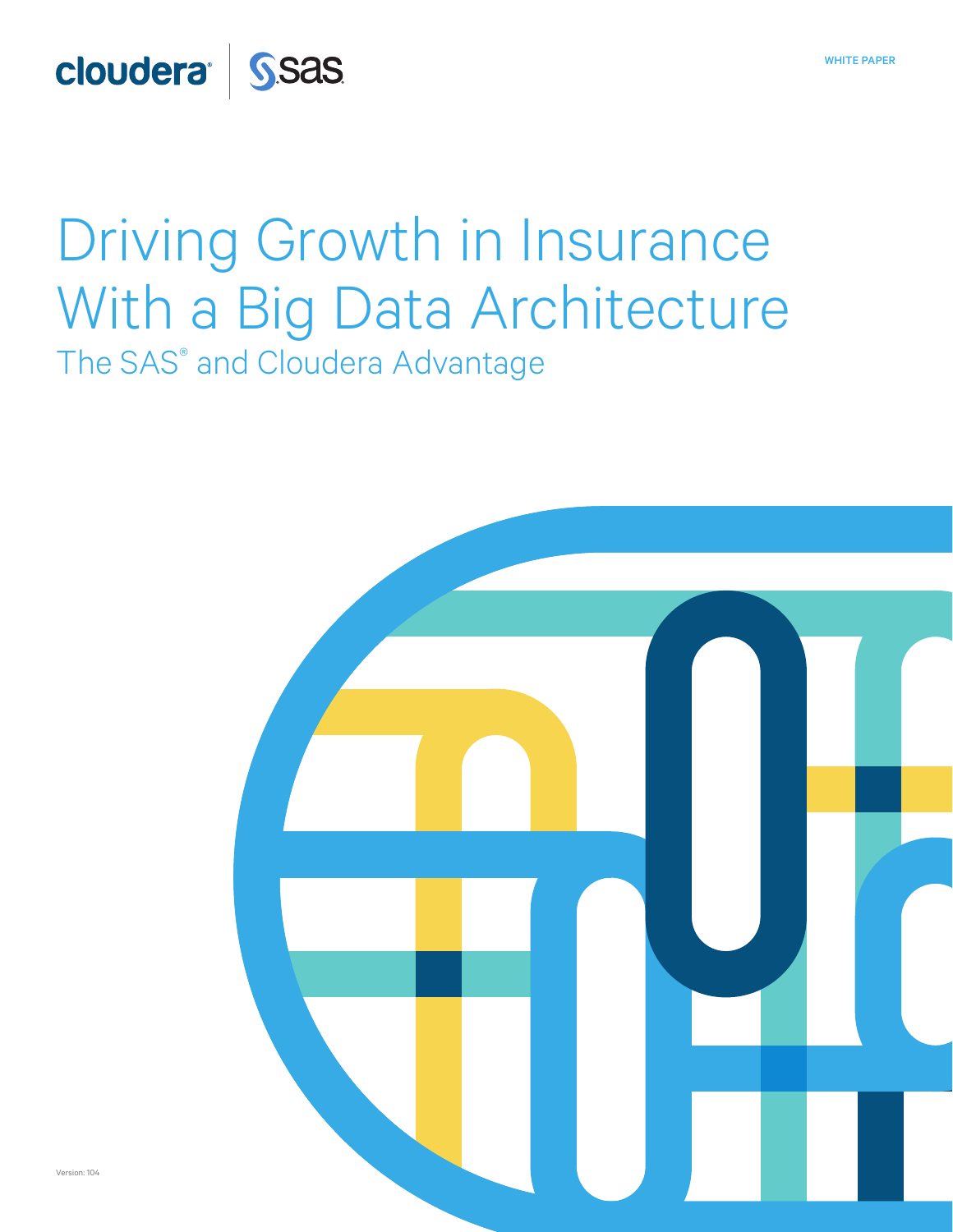## cloudera<sup>J</sup> SSas

## Driving Growth in Insurance With a Big Data Architecture The SAS® and Cloudera Advantage



WHITE PAPER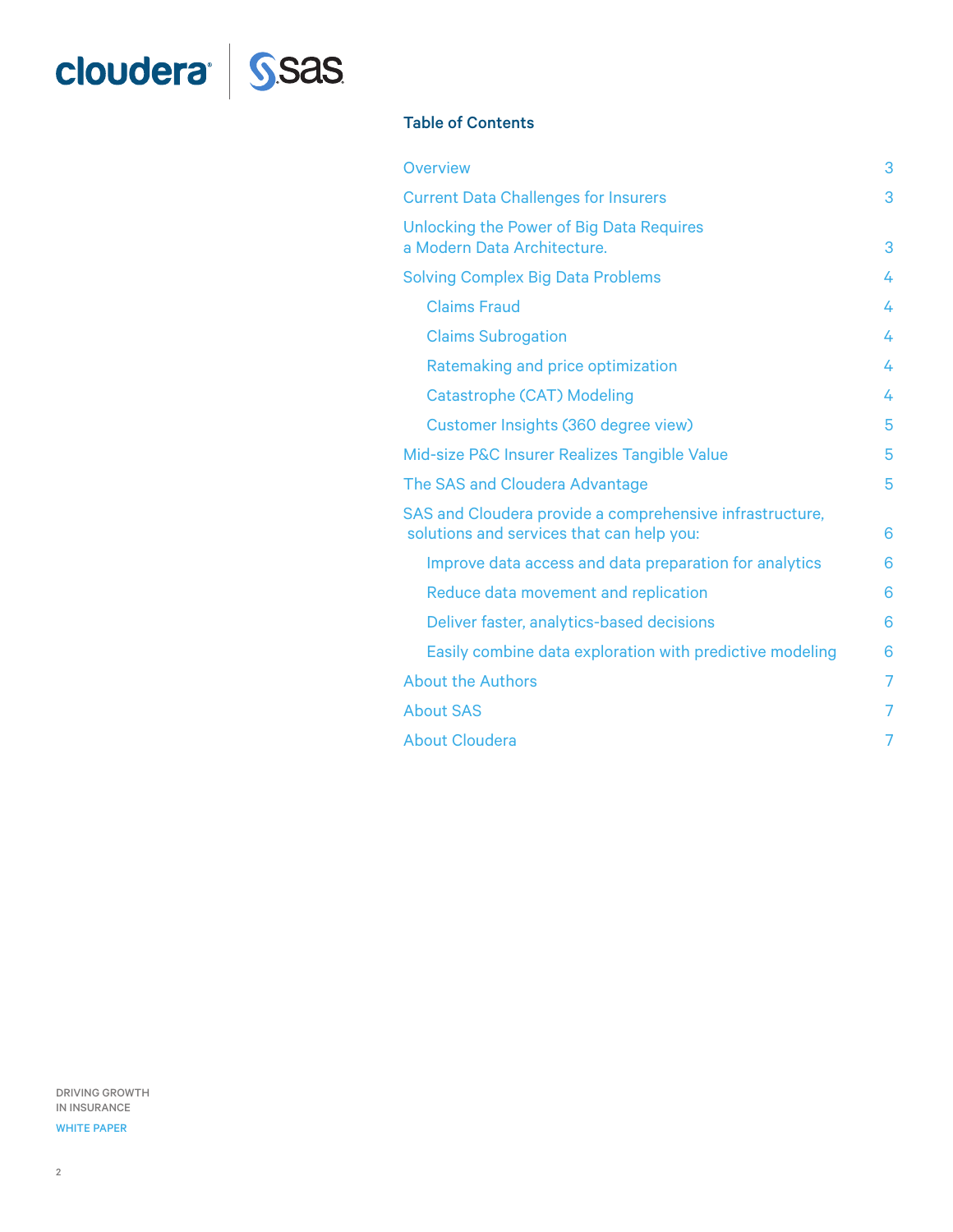# cloudera<sup>d</sup> SSas

#### Table of Contents

| Overview                                                                                              | 3              |
|-------------------------------------------------------------------------------------------------------|----------------|
| <b>Current Data Challenges for Insurers</b>                                                           | 3              |
| Unlocking the Power of Big Data Requires<br>a Modern Data Architecture.                               | 3              |
| <b>Solving Complex Big Data Problems</b>                                                              | 4              |
| <b>Claims Fraud</b>                                                                                   | 4              |
| <b>Claims Subrogation</b>                                                                             | 4              |
| Ratemaking and price optimization                                                                     | 4              |
| Catastrophe (CAT) Modeling                                                                            | 4              |
| Customer Insights (360 degree view)                                                                   | 5              |
| Mid-size P&C Insurer Realizes Tangible Value                                                          | 5              |
| The SAS and Cloudera Advantage                                                                        | 5              |
| SAS and Cloudera provide a comprehensive infrastructure,<br>solutions and services that can help you: | 6              |
| Improve data access and data preparation for analytics                                                | 6              |
| Reduce data movement and replication                                                                  | 6              |
| Deliver faster, analytics-based decisions                                                             | 6              |
| Easily combine data exploration with predictive modeling                                              | 6              |
| <b>About the Authors</b>                                                                              | $\overline{7}$ |
| <b>About SAS</b>                                                                                      | 7              |
| <b>About Cloudera</b>                                                                                 | 7              |

DRIVING GROWTH IN INSURANCE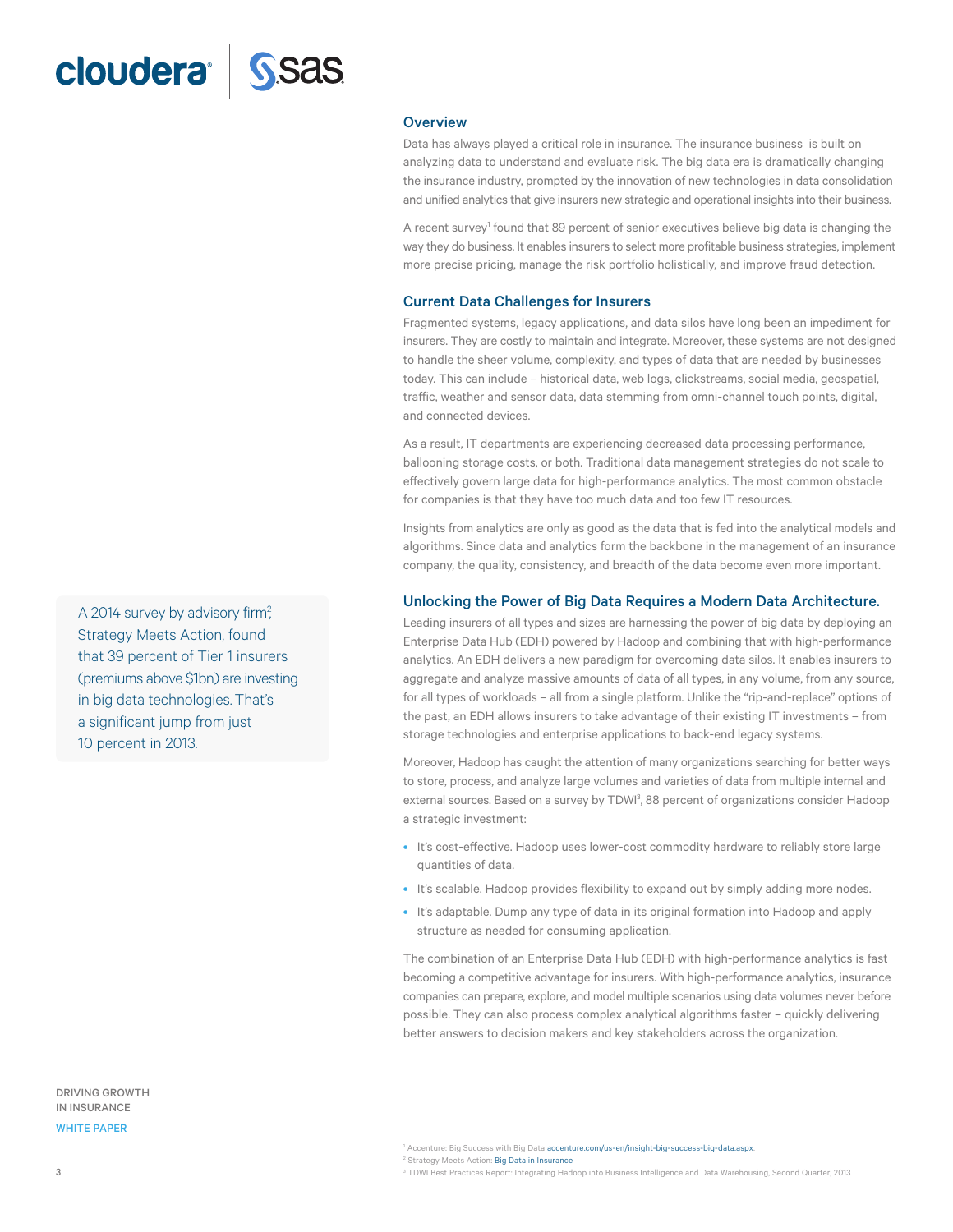### <span id="page-2-0"></span>cloudera<sup>®</sup>

#### **Overview**

Data has always played a critical role in insurance. The insurance business is built on analyzing data to understand and evaluate risk. The big data era is dramatically changing the insurance industry, prompted by the innovation of new technologies in data consolidation and unified analytics that give insurers new strategic and operational insights into their business.

A recent survey<sup>1</sup> found that 89 percent of senior executives believe big data is changing the way they do business. It enables insurers to select more profitable business strategies, implement more precise pricing, manage the risk portfolio holistically, and improve fraud detection.

#### Current Data Challenges for Insurers

Fragmented systems, legacy applications, and data silos have long been an impediment for insurers. They are costly to maintain and integrate. Moreover, these systems are not designed to handle the sheer volume, complexity, and types of data that are needed by businesses today. This can include – historical data, web logs, clickstreams, social media, geospatial, traffic, weather and sensor data, data stemming from omni-channel touch points, digital, and connected devices.

As a result, IT departments are experiencing decreased data processing performance, ballooning storage costs, or both. Traditional data management strategies do not scale to effectively govern large data for high-performance analytics. The most common obstacle for companies is that they have too much data and too few IT resources.

Insights from analytics are only as good as the data that is fed into the analytical models and algorithms. Since data and analytics form the backbone in the management of an insurance company, the quality, consistency, and breadth of the data become even more important.

#### Unlocking the Power of Big Data Requires a Modern Data Architecture.

Leading insurers of all types and sizes are harnessing the power of big data by deploying an Enterprise Data Hub (EDH) powered by Hadoop and combining that with high-performance analytics. An EDH delivers a new paradigm for overcoming data silos. It enables insurers to aggregate and analyze massive amounts of data of all types, in any volume, from any source, for all types of workloads – all from a single platform. Unlike the "rip-and-replace" options of the past, an EDH allows insurers to take advantage of their existing IT investments – from storage technologies and enterprise applications to back-end legacy systems.

Moreover, Hadoop has caught the attention of many organizations searching for better ways to store, process, and analyze large volumes and varieties of data from multiple internal and external sources. Based on a survey by TDWI<sup>3</sup>, 88 percent of organizations consider Hadoop a strategic investment:

- It's cost-effective. Hadoop uses lower-cost commodity hardware to reliably store large quantities of data.
- It's scalable. Hadoop provides flexibility to expand out by simply adding more nodes.
- It's adaptable. Dump any type of data in its original formation into Hadoop and apply structure as needed for consuming application.

The combination of an Enterprise Data Hub (EDH) with high-performance analytics is fast becoming a competitive advantage for insurers. With high-performance analytics, insurance companies can prepare, explore, and model multiple scenarios using data volumes never before possible. They can also process complex analytical algorithms faster – quickly delivering better answers to decision makers and key stakeholders across the organization.

A 2014 survey by advisory firm<sup>2</sup>, Strategy Meets Action, found that 39 percent of Tier 1 insurers (premiums above \$1bn) are investing in big data technologies. That's a significant jump from just 10 percent in 2013.

#### DRIVING GROWTH IN INSURANCE

WHITE PAPER

<sup>3</sup> TDWI Best Practices Report: Integrating Hadoop into Business Intelligence and Data Warehousing, Second Quarter, 2013

<sup>&</sup>lt;sup>1</sup> Accenture: Big Success with Big Data accenture.com/us-en/insight-big-success-big-data.aspx.

<sup>&</sup>lt;sup>2</sup> Strategy Meets Action: Big Data in Insurance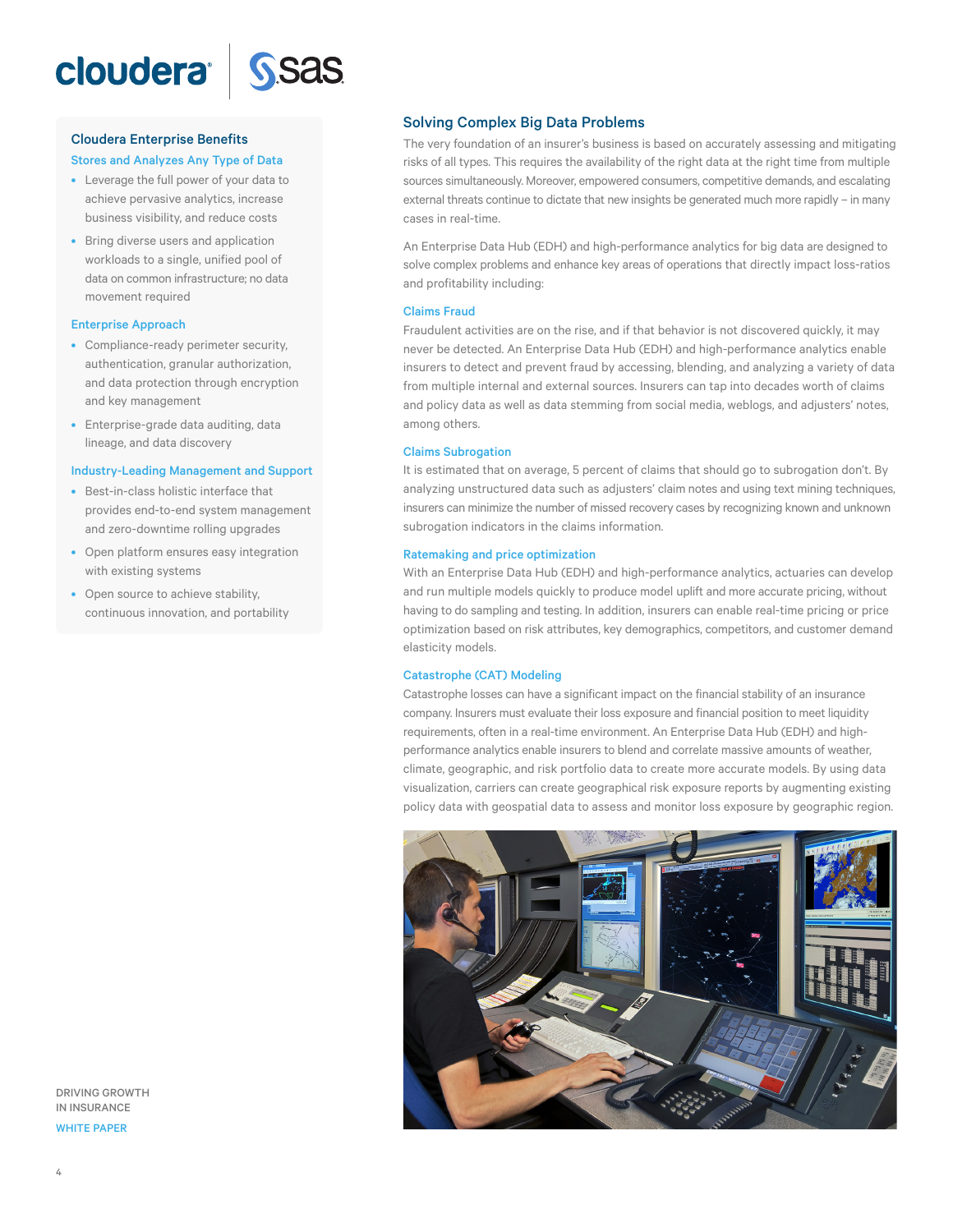<span id="page-3-0"></span>

### Cloudera Enterprise Benefits Stores and Analyzes Any Type of Data

- Leverage the full power of your data to achieve pervasive analytics, increase business visibility, and reduce costs
- Bring diverse users and application workloads to a single, unified pool of data on common infrastructure; no data movement required

#### Enterprise Approach

- Compliance-ready perimeter security, authentication, granular authorization, and data protection through encryption and key management
- Enterprise-grade data auditing, data lineage, and data discovery

#### Industry-Leading Management and Support

- Best-in-class holistic interface that provides end-to-end system management and zero-downtime rolling upgrades
- Open platform ensures easy integration with existing systems
- Open source to achieve stability, continuous innovation, and portability

Solving Complex Big Data Problems

The very foundation of an insurer's business is based on accurately assessing and mitigating risks of all types. This requires the availability of the right data at the right time from multiple sources simultaneously. Moreover, empowered consumers, competitive demands, and escalating external threats continue to dictate that new insights be generated much more rapidly – in many cases in real-time.

An Enterprise Data Hub (EDH) and high-performance analytics for big data are designed to solve complex problems and enhance key areas of operations that directly impact loss-ratios and profitability including:

#### Claims Fraud

Fraudulent activities are on the rise, and if that behavior is not discovered quickly, it may never be detected. An Enterprise Data Hub (EDH) and high-performance analytics enable insurers to detect and prevent fraud by accessing, blending, and analyzing a variety of data from multiple internal and external sources. Insurers can tap into decades worth of claims and policy data as well as data stemming from social media, weblogs, and adjusters' notes, among others.

#### Claims Subrogation

It is estimated that on average, 5 percent of claims that should go to subrogation don't. By analyzing unstructured data such as adjusters' claim notes and using text mining techniques, insurers can minimize the number of missed recovery cases by recognizing known and unknown subrogation indicators in the claims information.

#### Ratemaking and price optimization

With an Enterprise Data Hub (EDH) and high-performance analytics, actuaries can develop and run multiple models quickly to produce model uplift and more accurate pricing, without having to do sampling and testing. In addition, insurers can enable real-time pricing or price optimization based on risk attributes, key demographics, competitors, and customer demand elasticity models.

#### Catastrophe (CAT) Modeling

Catastrophe losses can have a significant impact on the financial stability of an insurance company. Insurers must evaluate their loss exposure and financial position to meet liquidity requirements, often in a real-time environment. An Enterprise Data Hub (EDH) and highperformance analytics enable insurers to blend and correlate massive amounts of weather, climate, geographic, and risk portfolio data to create more accurate models. By using data visualization, carriers can create geographical risk exposure reports by augmenting existing policy data with geospatial data to assess and monitor loss exposure by geographic region.



DRIVING GROWTH IN INSURANCE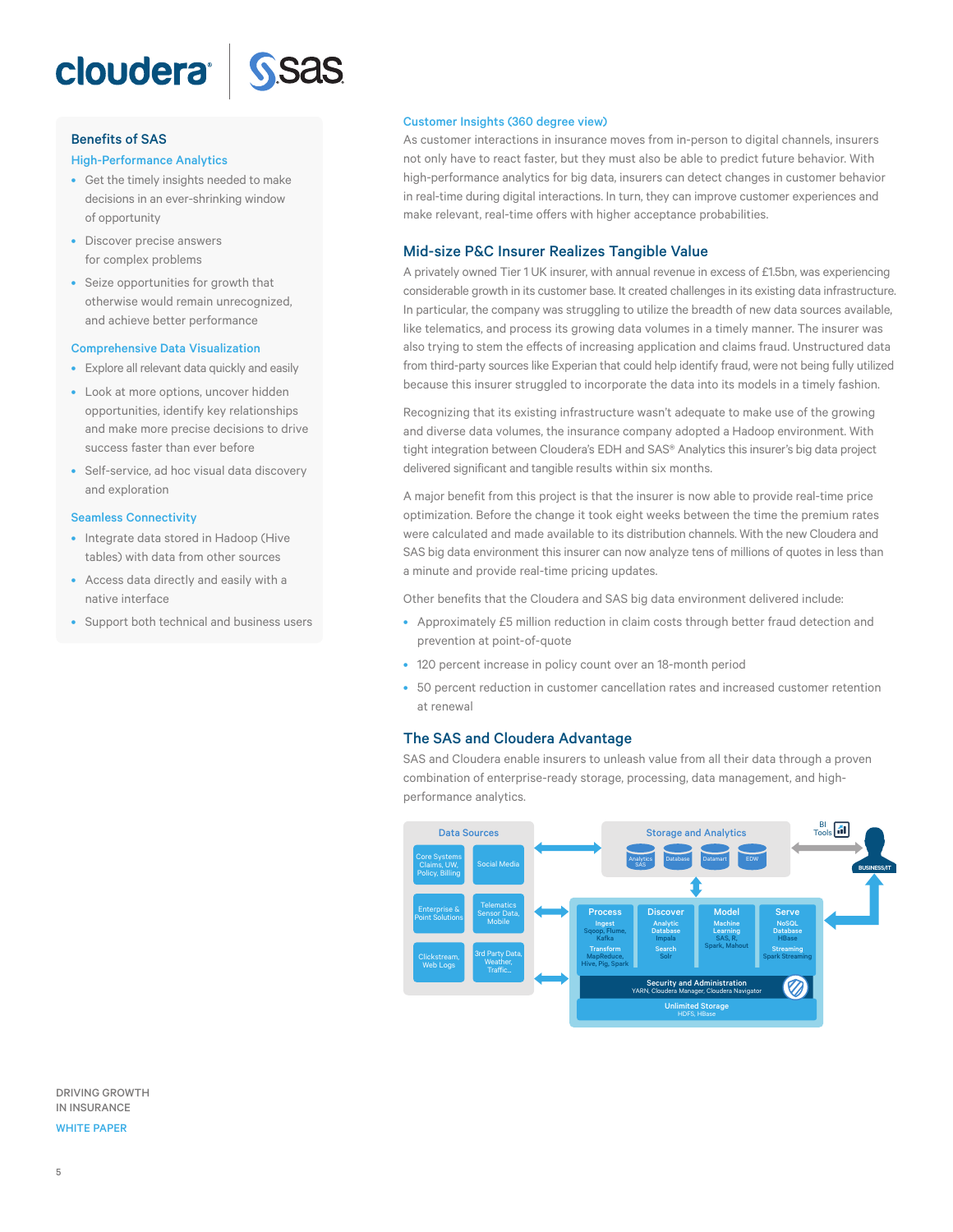<span id="page-4-0"></span>



#### Benefits of SAS

#### High-Performance Analytics

- Get the timely insights needed to make decisions in an ever-shrinking window of opportunity
- Discover precise answers for complex problems
- Seize opportunities for growth that otherwise would remain unrecognized, and achieve better performance

#### Comprehensive Data Visualization

- Explore all relevant data quickly and easily
- Look at more options, uncover hidden opportunities, identify key relationships and make more precise decisions to drive success faster than ever before
- Self-service, ad hoc visual data discovery and exploration

#### Seamless Connectivity

- Integrate data stored in Hadoop (Hive tables) with data from other sources
- Access data directly and easily with a native interface
- Support both technical and business users

#### Customer Insights (360 degree view)

As customer interactions in insurance moves from in-person to digital channels, insurers not only have to react faster, but they must also be able to predict future behavior. With high-performance analytics for big data, insurers can detect changes in customer behavior in real-time during digital interactions. In turn, they can improve customer experiences and make relevant, real-time offers with higher acceptance probabilities.

#### Mid-size P&C Insurer Realizes Tangible Value

A privately owned Tier 1 UK insurer, with annual revenue in excess of £1.5bn, was experiencing considerable growth in its customer base. It created challenges in its existing data infrastructure. In particular, the company was struggling to utilize the breadth of new data sources available, like telematics, and process its growing data volumes in a timely manner. The insurer was also trying to stem the effects of increasing application and claims fraud. Unstructured data from third-party sources like Experian that could help identify fraud, were not being fully utilized because this insurer struggled to incorporate the data into its models in a timely fashion.

Recognizing that its existing infrastructure wasn't adequate to make use of the growing and diverse data volumes, the insurance company adopted a Hadoop environment. With tight integration between Cloudera's EDH and SAS® Analytics this insurer's big data project delivered significant and tangible results within six months.

A major benefit from this project is that the insurer is now able to provide real-time price optimization. Before the change it took eight weeks between the time the premium rates were calculated and made available to its distribution channels. With the new Cloudera and SAS big data environment this insurer can now analyze tens of millions of quotes in less than a minute and provide real-time pricing updates.

Other benefits that the Cloudera and SAS big data environment delivered include:

- Approximately £5 million reduction in claim costs through better fraud detection and prevention at point-of-quote
- 120 percent increase in policy count over an 18-month period
- 50 percent reduction in customer cancellation rates and increased customer retention at renewal

#### The SAS and Cloudera Advantage

SAS and Cloudera enable insurers to unleash value from all their data through a proven combination of enterprise-ready storage, processing, data management, and highperformance analytics.



DRIVING GROWTH IN INSURANCE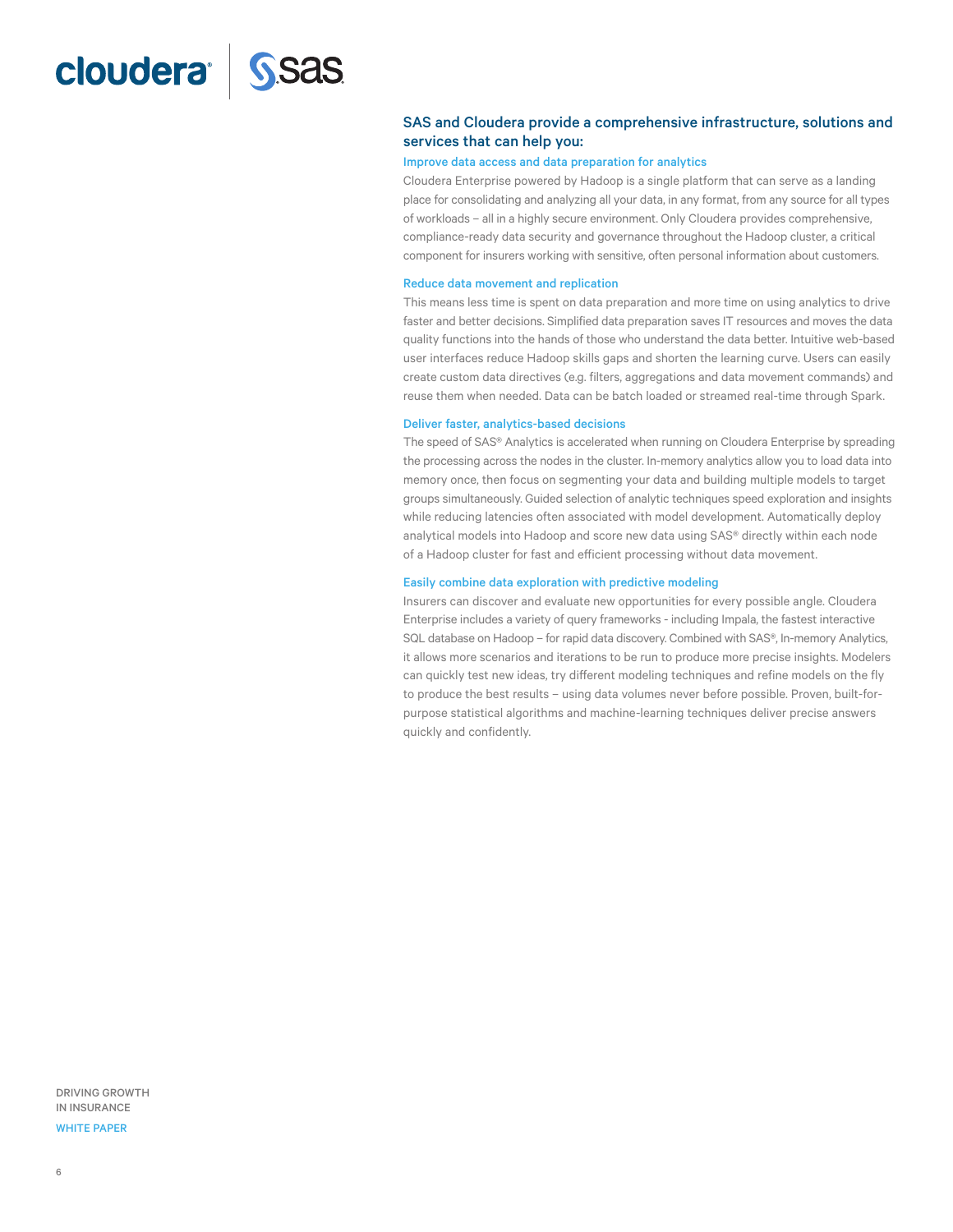### <span id="page-5-0"></span>cloudera<sup>l</sup> SSas

#### SAS and Cloudera provide a comprehensive infrastructure, solutions and services that can help you:

#### Improve data access and data preparation for analytics

Cloudera Enterprise powered by Hadoop is a single platform that can serve as a landing place for consolidating and analyzing all your data, in any format, from any source for all types of workloads – all in a highly secure environment. Only Cloudera provides comprehensive, compliance-ready data security and governance throughout the Hadoop cluster, a critical component for insurers working with sensitive, often personal information about customers.

#### Reduce data movement and replication

This means less time is spent on data preparation and more time on using analytics to drive faster and better decisions. Simplified data preparation saves IT resources and moves the data quality functions into the hands of those who understand the data better. Intuitive web-based user interfaces reduce Hadoop skills gaps and shorten the learning curve. Users can easily create custom data directives (e.g. filters, aggregations and data movement commands) and reuse them when needed. Data can be batch loaded or streamed real-time through Spark.

#### Deliver faster, analytics-based decisions

The speed of SAS® Analytics is accelerated when running on Cloudera Enterprise by spreading the processing across the nodes in the cluster. In-memory analytics allow you to load data into memory once, then focus on segmenting your data and building multiple models to target groups simultaneously. Guided selection of analytic techniques speed exploration and insights while reducing latencies often associated with model development. Automatically deploy analytical models into Hadoop and score new data using SAS® directly within each node of a Hadoop cluster for fast and efficient processing without data movement.

#### Easily combine data exploration with predictive modeling

Insurers can discover and evaluate new opportunities for every possible angle. Cloudera Enterprise includes a variety of query frameworks - including Impala, the fastest interactive SQL database on Hadoop - for rapid data discovery. Combined with SAS®, In-memory Analytics, it allows more scenarios and iterations to be run to produce more precise insights. Modelers can quickly test new ideas, try different modeling techniques and refine models on the fly to produce the best results – using data volumes never before possible. Proven, built-forpurpose statistical algorithms and machine-learning techniques deliver precise answers quickly and confidently.

DRIVING GROWTH IN INSURANCE

#### WHITE PAPER